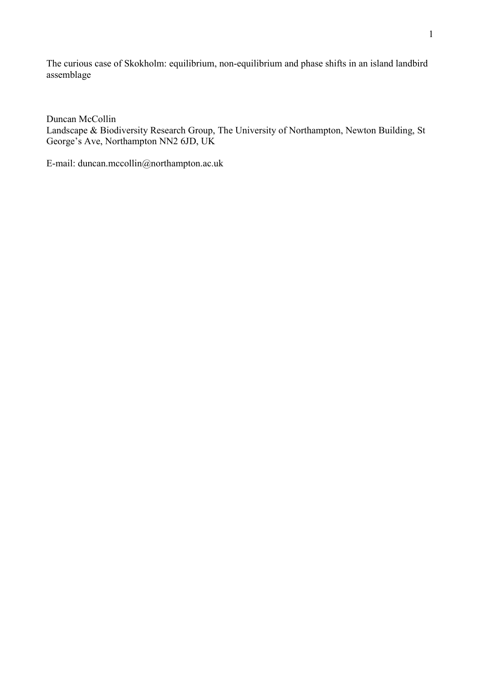The curious case of Skokholm: equilibrium, non-equilibrium and phase shifts in an island landbird assemblage

Duncan McCollin

Landscape & Biodiversity Research Group, The University of Northampton, Newton Building, St George's Ave, Northampton NN2 6JD, UK

E-mail: duncan.mccollin@northampton.ac.uk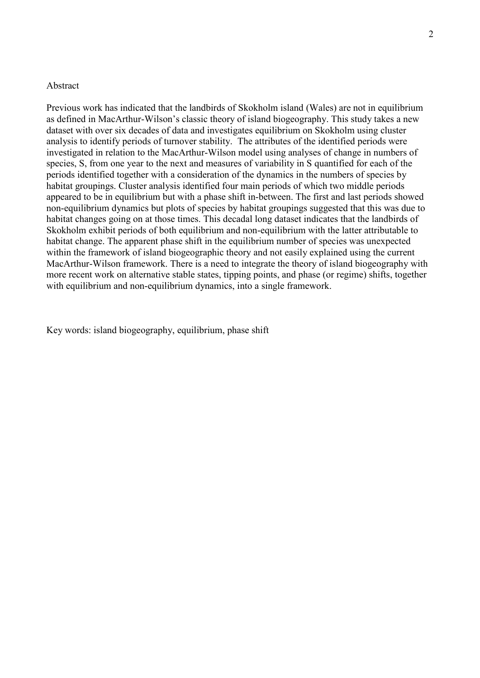### Abstract

Previous work has indicated that the landbirds of Skokholm island (Wales) are not in equilibrium as defined in MacArthur-Wilson's classic theory of island biogeography. This study takes a new dataset with over six decades of data and investigates equilibrium on Skokholm using cluster analysis to identify periods of turnover stability. The attributes of the identified periods were investigated in relation to the MacArthur-Wilson model using analyses of change in numbers of species, S, from one year to the next and measures of variability in S quantified for each of the periods identified together with a consideration of the dynamics in the numbers of species by habitat groupings. Cluster analysis identified four main periods of which two middle periods appeared to be in equilibrium but with a phase shift in-between. The first and last periods showed non-equilibrium dynamics but plots of species by habitat groupings suggested that this was due to habitat changes going on at those times. This decadal long dataset indicates that the landbirds of Skokholm exhibit periods of both equilibrium and non-equilibrium with the latter attributable to habitat change. The apparent phase shift in the equilibrium number of species was unexpected within the framework of island biogeographic theory and not easily explained using the current MacArthur-Wilson framework. There is a need to integrate the theory of island biogeography with more recent work on alternative stable states, tipping points, and phase (or regime) shifts, together with equilibrium and non-equilibrium dynamics, into a single framework.

Key words: island biogeography, equilibrium, phase shift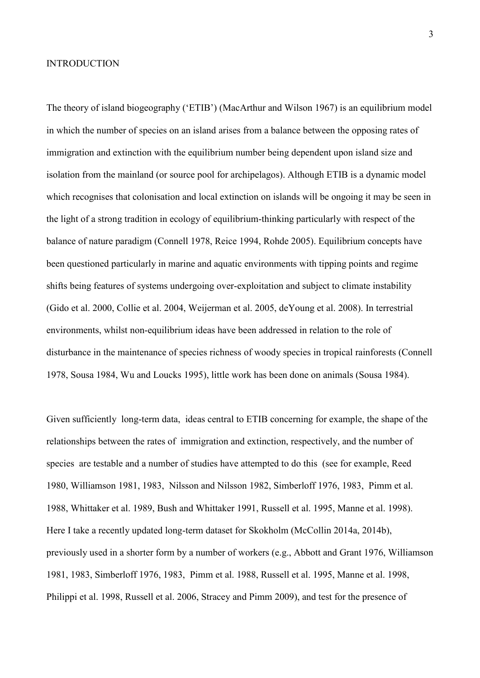#### INTRODUCTION

The theory of island biogeography ('ETIB') (MacArthur and Wilson 1967) is an equilibrium model in which the number of species on an island arises from a balance between the opposing rates of immigration and extinction with the equilibrium number being dependent upon island size and isolation from the mainland (or source pool for archipelagos). Although ETIB is a dynamic model which recognises that colonisation and local extinction on islands will be ongoing it may be seen in the light of a strong tradition in ecology of equilibrium-thinking particularly with respect of the balance of nature paradigm (Connell 1978, Reice 1994, Rohde 2005). Equilibrium concepts have been questioned particularly in marine and aquatic environments with tipping points and regime shifts being features of systems undergoing over-exploitation and subject to climate instability (Gido et al. 2000, Collie et al. 2004, Weijerman et al. 2005, deYoung et al. 2008). In terrestrial environments, whilst non-equilibrium ideas have been addressed in relation to the role of disturbance in the maintenance of species richness of woody species in tropical rainforests (Connell 1978, Sousa 1984, Wu and Loucks 1995), little work has been done on animals (Sousa 1984).

Given sufficiently long-term data, ideas central to ETIB concerning for example, the shape of the relationships between the rates of immigration and extinction, respectively, and the number of species are testable and a number of studies have attempted to do this (see for example, Reed 1980, Williamson 1981, 1983, Nilsson and Nilsson 1982, Simberloff 1976, 1983, Pimm et al. 1988, Whittaker et al. 1989, Bush and Whittaker 1991, Russell et al. 1995, Manne et al. 1998). Here I take a recently updated long-term dataset for Skokholm (McCollin 2014a, 2014b), previously used in a shorter form by a number of workers (e.g., Abbott and Grant 1976, Williamson 1981, 1983, Simberloff 1976, 1983, Pimm et al. 1988, Russell et al. 1995, Manne et al. 1998, Philippi et al. 1998, Russell et al. 2006, Stracey and Pimm 2009), and test for the presence of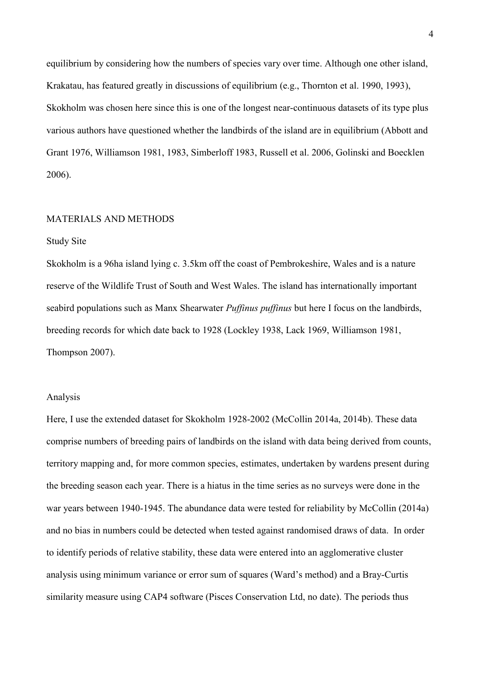equilibrium by considering how the numbers of species vary over time. Although one other island, Krakatau, has featured greatly in discussions of equilibrium (e.g., Thornton et al. 1990, 1993), Skokholm was chosen here since this is one of the longest near-continuous datasets of its type plus various authors have questioned whether the landbirds of the island are in equilibrium (Abbott and Grant 1976, Williamson 1981, 1983, Simberloff 1983, Russell et al. 2006, Golinski and Boecklen 2006).

### MATERIALS AND METHODS

### Study Site

Skokholm is a 96ha island lying c. 3.5km off the coast of Pembrokeshire, Wales and is a nature reserve of the Wildlife Trust of South and West Wales. The island has internationally important seabird populations such as Manx Shearwater *Puffinus puffinus* but here I focus on the landbirds, breeding records for which date back to 1928 (Lockley 1938, Lack 1969, Williamson 1981, Thompson 2007).

#### Analysis

Here, I use the extended dataset for Skokholm 1928-2002 (McCollin 2014a, 2014b). These data comprise numbers of breeding pairs of landbirds on the island with data being derived from counts, territory mapping and, for more common species, estimates, undertaken by wardens present during the breeding season each year. There is a hiatus in the time series as no surveys were done in the war years between 1940-1945. The abundance data were tested for reliability by McCollin (2014a) and no bias in numbers could be detected when tested against randomised draws of data. In order to identify periods of relative stability, these data were entered into an agglomerative cluster analysis using minimum variance or error sum of squares (Ward's method) and a Bray-Curtis similarity measure using CAP4 software (Pisces Conservation Ltd, no date). The periods thus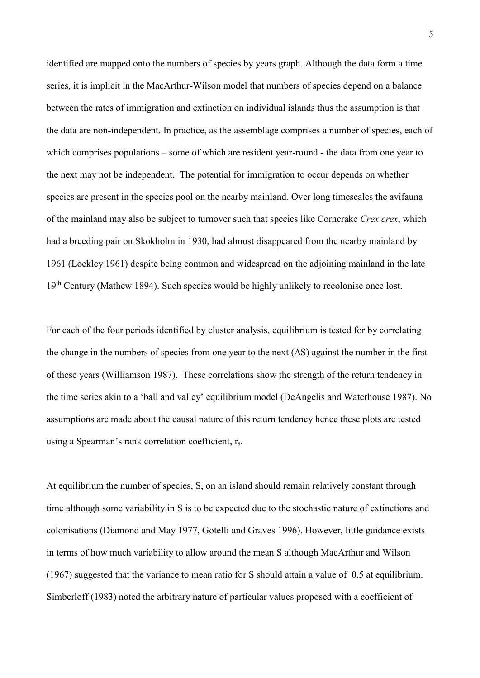identified are mapped onto the numbers of species by years graph. Although the data form a time series, it is implicit in the MacArthur-Wilson model that numbers of species depend on a balance between the rates of immigration and extinction on individual islands thus the assumption is that the data are non-independent. In practice, as the assemblage comprises a number of species, each of which comprises populations – some of which are resident year-round - the data from one year to the next may not be independent. The potential for immigration to occur depends on whether species are present in the species pool on the nearby mainland. Over long timescales the avifauna of the mainland may also be subject to turnover such that species like Corncrake *Crex crex*, which had a breeding pair on Skokholm in 1930, had almost disappeared from the nearby mainland by 1961 (Lockley 1961) despite being common and widespread on the adjoining mainland in the late 19<sup>th</sup> Century (Mathew 1894). Such species would be highly unlikely to recolonise once lost.

For each of the four periods identified by cluster analysis, equilibrium is tested for by correlating the change in the numbers of species from one year to the next  $( \Delta S)$  against the number in the first of these years (Williamson 1987). These correlations show the strength of the return tendency in the time series akin to a 'ball and valley' equilibrium model (DeAngelis and Waterhouse 1987). No assumptions are made about the causal nature of this return tendency hence these plots are tested using a Spearman's rank correlation coefficient, rs.

At equilibrium the number of species, S, on an island should remain relatively constant through time although some variability in S is to be expected due to the stochastic nature of extinctions and colonisations (Diamond and May 1977, Gotelli and Graves 1996). However, little guidance exists in terms of how much variability to allow around the mean S although MacArthur and Wilson (1967) suggested that the variance to mean ratio for S should attain a value of 0.5 at equilibrium. Simberloff (1983) noted the arbitrary nature of particular values proposed with a coefficient of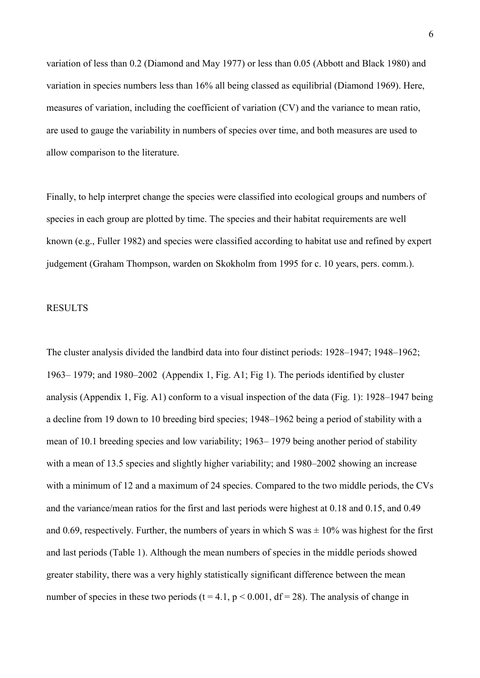variation of less than 0.2 (Diamond and May 1977) or less than 0.05 (Abbott and Black 1980) and variation in species numbers less than 16% all being classed as equilibrial (Diamond 1969). Here, measures of variation, including the coefficient of variation (CV) and the variance to mean ratio, are used to gauge the variability in numbers of species over time, and both measures are used to allow comparison to the literature.

Finally, to help interpret change the species were classified into ecological groups and numbers of species in each group are plotted by time. The species and their habitat requirements are well known (e.g., Fuller 1982) and species were classified according to habitat use and refined by expert judgement (Graham Thompson, warden on Skokholm from 1995 for c. 10 years, pers. comm.).

### RESULTS

The cluster analysis divided the landbird data into four distinct periods: 1928–1947; 1948–1962; 1963– 1979; and 1980–2002 (Appendix 1, Fig. A1; Fig 1). The periods identified by cluster analysis (Appendix 1, Fig. A1) conform to a visual inspection of the data (Fig. 1): 1928–1947 being a decline from 19 down to 10 breeding bird species; 1948–1962 being a period of stability with a mean of 10.1 breeding species and low variability; 1963– 1979 being another period of stability with a mean of 13.5 species and slightly higher variability; and 1980–2002 showing an increase with a minimum of 12 and a maximum of 24 species. Compared to the two middle periods, the CVs and the variance/mean ratios for the first and last periods were highest at 0.18 and 0.15, and 0.49 and 0.69, respectively. Further, the numbers of years in which S was  $\pm 10\%$  was highest for the first and last periods (Table 1). Although the mean numbers of species in the middle periods showed greater stability, there was a very highly statistically significant difference between the mean number of species in these two periods (t = 4.1,  $p < 0.001$ , df = 28). The analysis of change in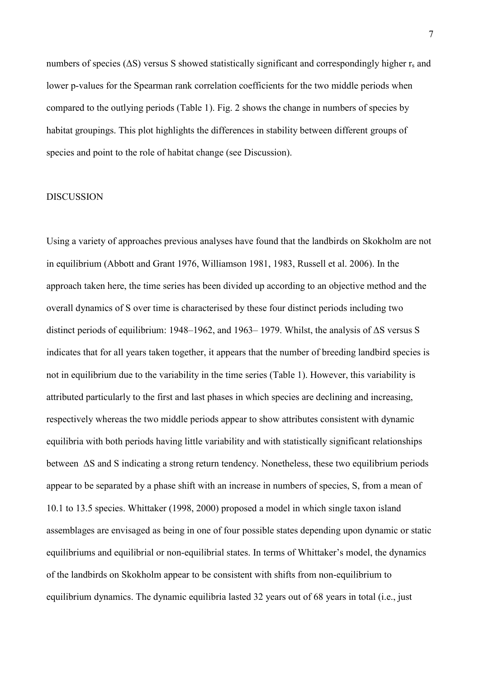numbers of species ( $\Delta S$ ) versus S showed statistically significant and correspondingly higher r<sub>s</sub> and lower p-values for the Spearman rank correlation coefficients for the two middle periods when compared to the outlying periods (Table 1). Fig. 2 shows the change in numbers of species by habitat groupings. This plot highlights the differences in stability between different groups of species and point to the role of habitat change (see Discussion).

#### DISCUSSION

Using a variety of approaches previous analyses have found that the landbirds on Skokholm are not in equilibrium (Abbott and Grant 1976, Williamson 1981, 1983, Russell et al. 2006). In the approach taken here, the time series has been divided up according to an objective method and the overall dynamics of S over time is characterised by these four distinct periods including two distinct periods of equilibrium: 1948–1962, and 1963– 1979. Whilst, the analysis of ΔS versus S indicates that for all years taken together, it appears that the number of breeding landbird species is not in equilibrium due to the variability in the time series (Table 1). However, this variability is attributed particularly to the first and last phases in which species are declining and increasing, respectively whereas the two middle periods appear to show attributes consistent with dynamic equilibria with both periods having little variability and with statistically significant relationships between ΔS and S indicating a strong return tendency. Nonetheless, these two equilibrium periods appear to be separated by a phase shift with an increase in numbers of species, S, from a mean of 10.1 to 13.5 species. Whittaker (1998, 2000) proposed a model in which single taxon island assemblages are envisaged as being in one of four possible states depending upon dynamic or static equilibriums and equilibrial or non-equilibrial states. In terms of Whittaker's model, the dynamics of the landbirds on Skokholm appear to be consistent with shifts from non-equilibrium to equilibrium dynamics. The dynamic equilibria lasted 32 years out of 68 years in total (i.e., just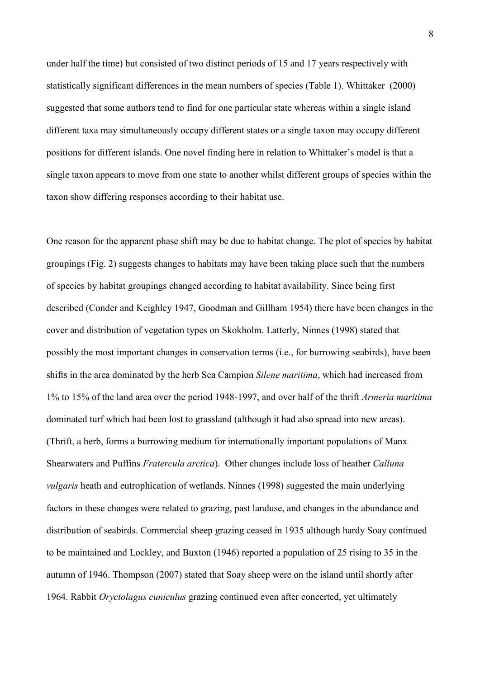under half the time) but consisted of two distinct periods of 15 and 17 years respectively with statistically significant differences in the mean numbers of species (Table 1). Whittaker (2000) suggested that some authors tend to find for one particular state whereas within a single island different taxa may simultaneously occupy different states or a single taxon may occupy different positions for different islands. One novel finding here in relation to Whittaker's model is that a single taxon appears to move from one state to another whilst different groups of species within the taxon show differing responses according to their habitat use.

One reason for the apparent phase shift may be due to habitat change. The plot of species by habitat groupings (Fig. 2) suggests changes to habitats may have been taking place such that the numbers of species by habitat groupings changed according to habitat availability. Since being first described (Conder and Keighley 1947, Goodman and Gillham 1954) there have been changes in the cover and distribution of vegetation types on Skokholm. Latterly, Ninnes (1998) stated that possibly the most important changes in conservation terms (i.e., for burrowing seabirds), have been shifts in the area dominated by the herb Sea Campion *Silene maritima*, which had increased from 1% to 15% of the land area over the period 1948-1997, and over half of the thrift *Armeria maritima* dominated turf which had been lost to grassland (although it had also spread into new areas). (Thrift, a herb, forms a burrowing medium for internationally important populations of Manx Shearwaters and Puffins *Fratercula arctica*). Other changes include loss of heather *Calluna vulgaris* heath and eutrophication of wetlands. Ninnes (1998) suggested the main underlying factors in these changes were related to grazing, past landuse, and changes in the abundance and distribution of seabirds. Commercial sheep grazing ceased in 1935 although hardy Soay continued to be maintained and Lockley, and Buxton (1946) reported a population of 25 rising to 35 in the autumn of 1946. Thompson (2007) stated that Soay sheep were on the island until shortly after 1964. Rabbit *Oryctolagus cuniculus* grazing continued even after concerted, yet ultimately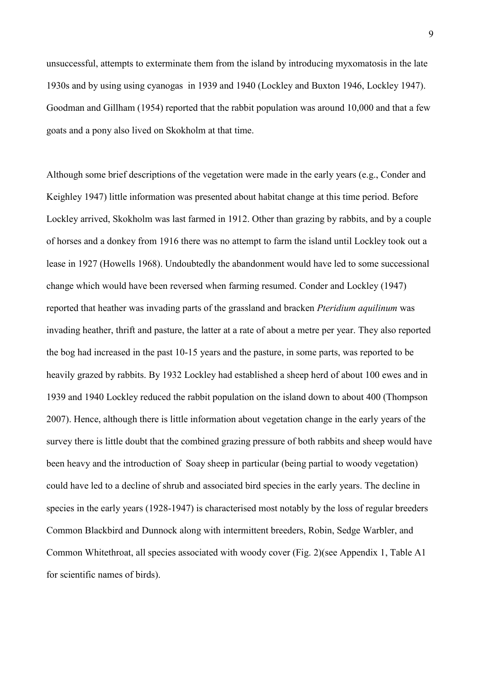unsuccessful, attempts to exterminate them from the island by introducing myxomatosis in the late 1930s and by using using cyanogas in 1939 and 1940 (Lockley and Buxton 1946, Lockley 1947). Goodman and Gillham (1954) reported that the rabbit population was around 10,000 and that a few goats and a pony also lived on Skokholm at that time.

Although some brief descriptions of the vegetation were made in the early years (e.g., Conder and Keighley 1947) little information was presented about habitat change at this time period. Before Lockley arrived, Skokholm was last farmed in 1912. Other than grazing by rabbits, and by a couple of horses and a donkey from 1916 there was no attempt to farm the island until Lockley took out a lease in 1927 (Howells 1968). Undoubtedly the abandonment would have led to some successional change which would have been reversed when farming resumed. Conder and Lockley (1947) reported that heather was invading parts of the grassland and bracken *Pteridium aquilinum* was invading heather, thrift and pasture, the latter at a rate of about a metre per year. They also reported the bog had increased in the past 10-15 years and the pasture, in some parts, was reported to be heavily grazed by rabbits. By 1932 Lockley had established a sheep herd of about 100 ewes and in 1939 and 1940 Lockley reduced the rabbit population on the island down to about 400 (Thompson 2007). Hence, although there is little information about vegetation change in the early years of the survey there is little doubt that the combined grazing pressure of both rabbits and sheep would have been heavy and the introduction of Soay sheep in particular (being partial to woody vegetation) could have led to a decline of shrub and associated bird species in the early years. The decline in species in the early years (1928-1947) is characterised most notably by the loss of regular breeders Common Blackbird and Dunnock along with intermittent breeders, Robin, Sedge Warbler, and Common Whitethroat, all species associated with woody cover (Fig. 2)(see Appendix 1, Table A1 for scientific names of birds).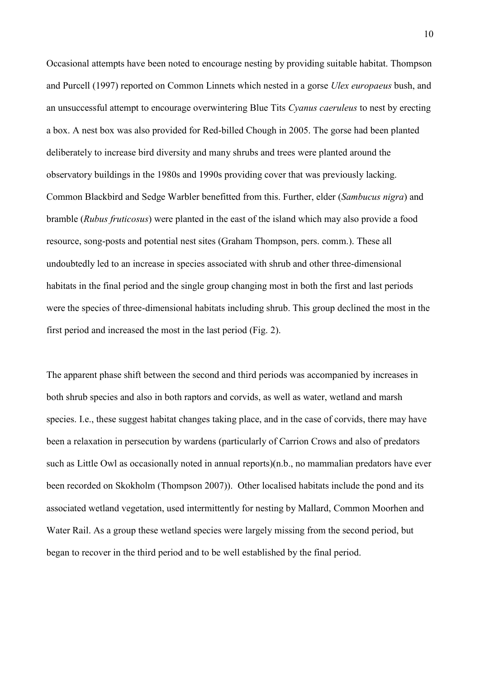Occasional attempts have been noted to encourage nesting by providing suitable habitat. Thompson and Purcell (1997) reported on Common Linnets which nested in a gorse *Ulex europaeus* bush, and an unsuccessful attempt to encourage overwintering Blue Tits *Cyanus caeruleus* to nest by erecting a box. A nest box was also provided for Red-billed Chough in 2005. The gorse had been planted deliberately to increase bird diversity and many shrubs and trees were planted around the observatory buildings in the 1980s and 1990s providing cover that was previously lacking. Common Blackbird and Sedge Warbler benefitted from this. Further, elder (*Sambucus nigra*) and bramble (*Rubus fruticosus*) were planted in the east of the island which may also provide a food resource, song-posts and potential nest sites (Graham Thompson, pers. comm.). These all undoubtedly led to an increase in species associated with shrub and other three-dimensional habitats in the final period and the single group changing most in both the first and last periods were the species of three-dimensional habitats including shrub. This group declined the most in the first period and increased the most in the last period (Fig. 2).

The apparent phase shift between the second and third periods was accompanied by increases in both shrub species and also in both raptors and corvids, as well as water, wetland and marsh species. I.e., these suggest habitat changes taking place, and in the case of corvids, there may have been a relaxation in persecution by wardens (particularly of Carrion Crows and also of predators such as Little Owl as occasionally noted in annual reports)(n.b., no mammalian predators have ever been recorded on Skokholm (Thompson 2007)). Other localised habitats include the pond and its associated wetland vegetation, used intermittently for nesting by Mallard, Common Moorhen and Water Rail. As a group these wetland species were largely missing from the second period, but began to recover in the third period and to be well established by the final period.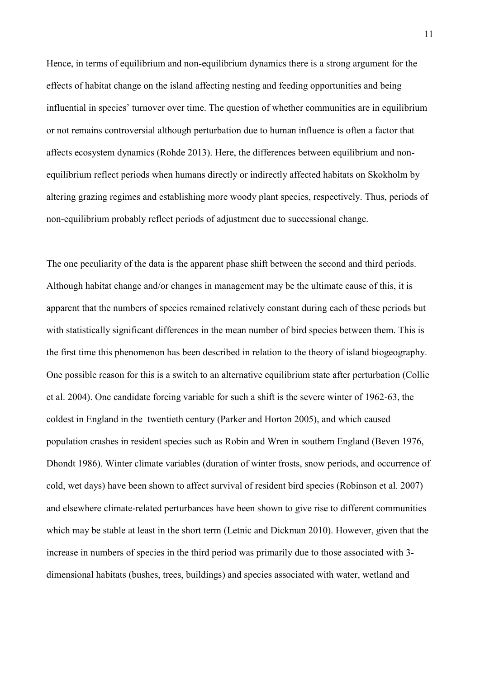Hence, in terms of equilibrium and non-equilibrium dynamics there is a strong argument for the effects of habitat change on the island affecting nesting and feeding opportunities and being influential in species' turnover over time. The question of whether communities are in equilibrium or not remains controversial although perturbation due to human influence is often a factor that affects ecosystem dynamics (Rohde 2013). Here, the differences between equilibrium and nonequilibrium reflect periods when humans directly or indirectly affected habitats on Skokholm by altering grazing regimes and establishing more woody plant species, respectively. Thus, periods of non-equilibrium probably reflect periods of adjustment due to successional change.

The one peculiarity of the data is the apparent phase shift between the second and third periods. Although habitat change and/or changes in management may be the ultimate cause of this, it is apparent that the numbers of species remained relatively constant during each of these periods but with statistically significant differences in the mean number of bird species between them. This is the first time this phenomenon has been described in relation to the theory of island biogeography. One possible reason for this is a switch to an alternative equilibrium state after perturbation (Collie et al. 2004). One candidate forcing variable for such a shift is the severe winter of 1962-63, the coldest in England in the twentieth century (Parker and Horton 2005), and which caused population crashes in resident species such as Robin and Wren in southern England (Beven 1976, Dhondt 1986). Winter climate variables (duration of winter frosts, snow periods, and occurrence of cold, wet days) have been shown to affect survival of resident bird species (Robinson et al. 2007) and elsewhere climate-related perturbances have been shown to give rise to different communities which may be stable at least in the short term (Letnic and Dickman 2010). However, given that the increase in numbers of species in the third period was primarily due to those associated with 3 dimensional habitats (bushes, trees, buildings) and species associated with water, wetland and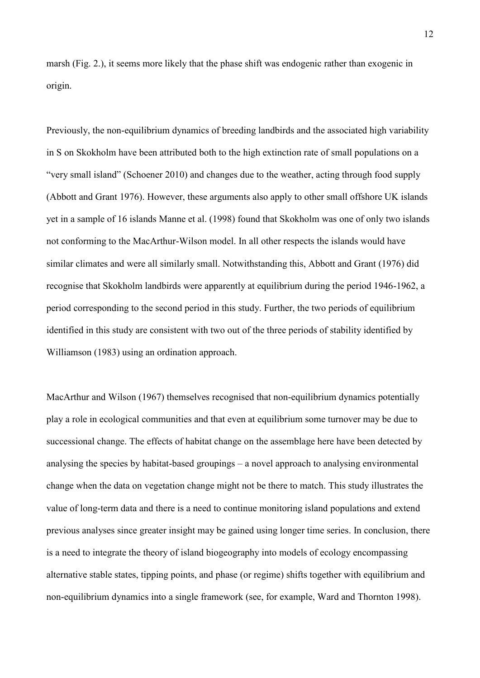marsh (Fig. 2.), it seems more likely that the phase shift was endogenic rather than exogenic in origin.

Previously, the non-equilibrium dynamics of breeding landbirds and the associated high variability in S on Skokholm have been attributed both to the high extinction rate of small populations on a "very small island" (Schoener 2010) and changes due to the weather, acting through food supply (Abbott and Grant 1976). However, these arguments also apply to other small offshore UK islands yet in a sample of 16 islands Manne et al. (1998) found that Skokholm was one of only two islands not conforming to the MacArthur-Wilson model. In all other respects the islands would have similar climates and were all similarly small. Notwithstanding this, Abbott and Grant (1976) did recognise that Skokholm landbirds were apparently at equilibrium during the period 1946-1962, a period corresponding to the second period in this study. Further, the two periods of equilibrium identified in this study are consistent with two out of the three periods of stability identified by Williamson (1983) using an ordination approach.

MacArthur and Wilson (1967) themselves recognised that non-equilibrium dynamics potentially play a role in ecological communities and that even at equilibrium some turnover may be due to successional change. The effects of habitat change on the assemblage here have been detected by analysing the species by habitat-based groupings – a novel approach to analysing environmental change when the data on vegetation change might not be there to match. This study illustrates the value of long-term data and there is a need to continue monitoring island populations and extend previous analyses since greater insight may be gained using longer time series. In conclusion, there is a need to integrate the theory of island biogeography into models of ecology encompassing alternative stable states, tipping points, and phase (or regime) shifts together with equilibrium and non-equilibrium dynamics into a single framework (see, for example, Ward and Thornton 1998).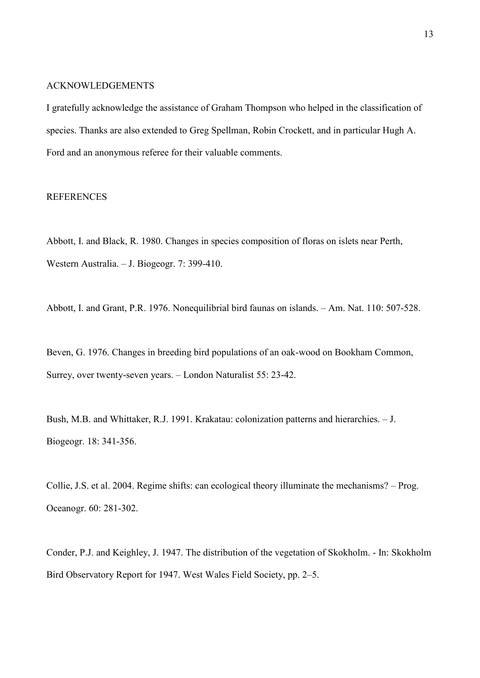# ACKNOWLEDGEMENTS

I gratefully acknowledge the assistance of Graham Thompson who helped in the classification of species. Thanks are also extended to Greg Spellman, Robin Crockett, and in particular Hugh A. Ford and an anonymous referee for their valuable comments.

# **REFERENCES**

Abbott, I. and Black, R. 1980. Changes in species composition of floras on islets near Perth, Western Australia. – J. Biogeogr. 7: 399-410.

Abbott, I. and Grant, P.R. 1976. Nonequilibrial bird faunas on islands. – Am. Nat. 110: 507-528.

Beven, G. 1976. Changes in breeding bird populations of an oak-wood on Bookham Common, Surrey, over twenty-seven years. – London Naturalist 55: 23-42.

Bush, M.B. and Whittaker, R.J. 1991. Krakatau: colonization patterns and hierarchies. – J. Biogeogr. 18: 341-356.

Collie, J.S. et al. 2004. Regime shifts: can ecological theory illuminate the mechanisms? – Prog. Oceanogr. 60: 281-302.

Conder, P.J. and Keighley, J. 1947. The distribution of the vegetation of Skokholm. - In: Skokholm Bird Observatory Report for 1947. West Wales Field Society, pp. 2–5.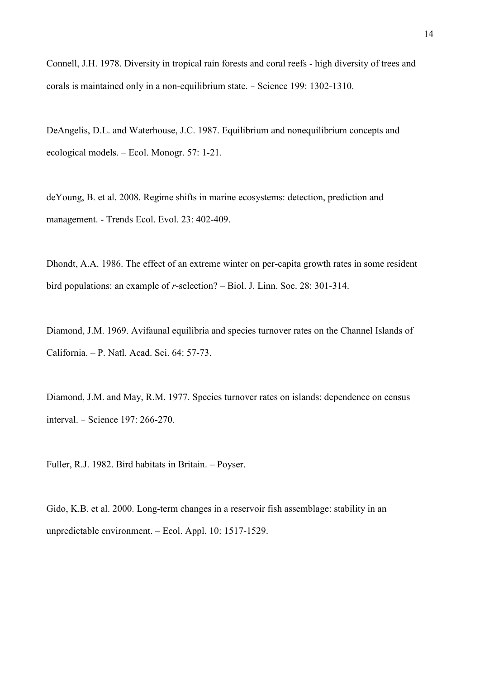Connell, J.H. 1978. Diversity in tropical rain forests and coral reefs - high diversity of trees and corals is maintained only in a non-equilibrium state. – Science 199: 1302-1310.

DeAngelis, D.L. and Waterhouse, J.C. 1987. Equilibrium and nonequilibrium concepts and ecological models. – Ecol. Monogr. 57: 1-21.

deYoung, B. et al. 2008. Regime shifts in marine ecosystems: detection, prediction and management. - Trends Ecol. Evol. 23: 402-409.

Dhondt, A.A. 1986. The effect of an extreme winter on per-capita growth rates in some resident bird populations: an example of *r*-selection? – Biol. J. Linn. Soc. 28: 301-314.

Diamond, J.M. 1969. Avifaunal equilibria and species turnover rates on the Channel Islands of California. – P. Natl. Acad. Sci. 64: 57-73.

Diamond, J.M. and May, R.M. 1977. Species turnover rates on islands: dependence on census interval. – Science 197: 266-270.

Fuller, R.J. 1982. Bird habitats in Britain. – Poyser.

Gido, K.B. et al. 2000. Long-term changes in a reservoir fish assemblage: stability in an unpredictable environment. – Ecol. Appl. 10: 1517-1529.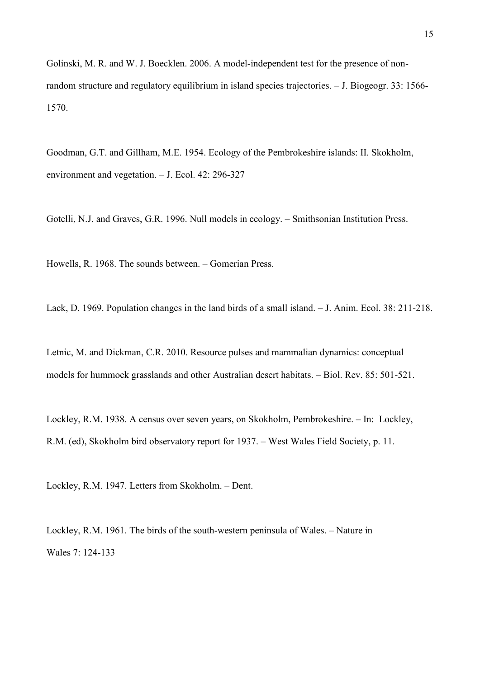Golinski, M. R. and W. J. Boecklen. 2006. A model-independent test for the presence of nonrandom structure and regulatory equilibrium in island species trajectories. – J. Biogeogr. 33: 1566- 1570.

Goodman, G.T. and Gillham, M.E. 1954. Ecology of the Pembrokeshire islands: II. Skokholm, environment and vegetation. – J. Ecol. 42: 296-327

Gotelli, N.J. and Graves, G.R. 1996. Null models in ecology. – Smithsonian Institution Press.

Howells, R. 1968. The sounds between. – Gomerian Press.

Lack, D. 1969. Population changes in the land birds of a small island. – J. Anim. Ecol. 38: 211-218.

Letnic, M. and Dickman, C.R. 2010. Resource pulses and mammalian dynamics: conceptual models for hummock grasslands and other Australian desert habitats. – Biol. Rev. 85: 501-521.

Lockley, R.M. 1938. A census over seven years, on Skokholm, Pembrokeshire. – In: Lockley, R.M. (ed), Skokholm bird observatory report for 1937. – West Wales Field Society, p. 11.

Lockley, R.M. 1947. Letters from Skokholm. – Dent.

Lockley, R.M. 1961. The birds of the south-western peninsula of Wales. – Nature in Wales 7: 124-133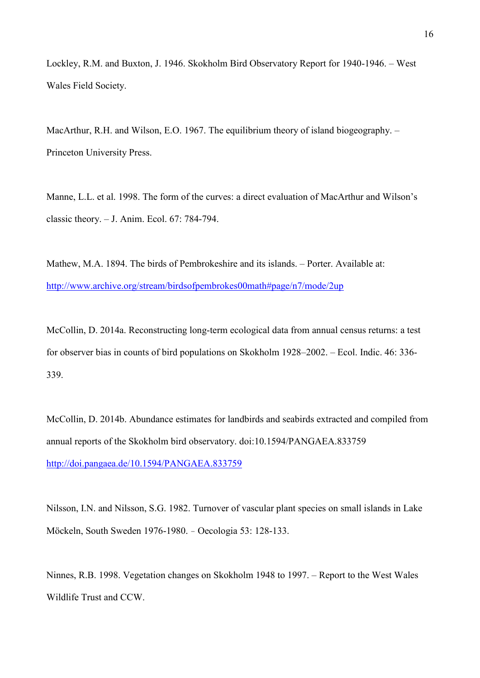Lockley, R.M. and Buxton, J. 1946. Skokholm Bird Observatory Report for 1940-1946. – West Wales Field Society.

MacArthur, R.H. and Wilson, E.O. 1967. The equilibrium theory of island biogeography. -Princeton University Press.

Manne, L.L. et al. 1998. The form of the curves: a direct evaluation of MacArthur and Wilson's classic theory. – J. Anim. Ecol. 67: 784-794.

Mathew, M.A. 1894. The birds of Pembrokeshire and its islands. – Porter. Available at: <http://www.archive.org/stream/birdsofpembrokes00math#page/n7/mode/2up>

McCollin, D. 2014a. Reconstructing long-term ecological data from annual census returns: a test for observer bias in counts of bird populations on Skokholm 1928–2002. – Ecol. Indic. 46: 336- 339.

McCollin, D. 2014b. Abundance estimates for landbirds and seabirds extracted and compiled from annual reports of the Skokholm bird observatory. doi:10.1594/PANGAEA.833759 <http://doi.pangaea.de/10.1594/PANGAEA.833759>

Nilsson, I.N. and Nilsson, S.G. 1982. Turnover of vascular plant species on small islands in Lake Möckeln, South Sweden 1976-1980. – Oecologia 53: 128-133.

Ninnes, R.B. 1998. Vegetation changes on Skokholm 1948 to 1997. – Report to the West Wales Wildlife Trust and CCW.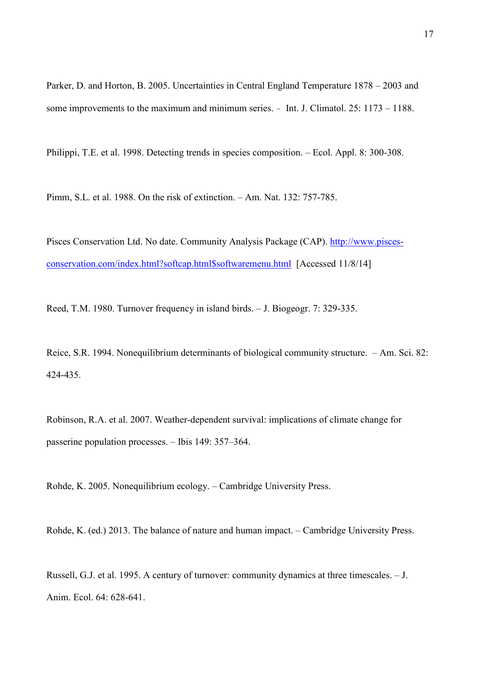Parker, D. and Horton, B. 2005. Uncertainties in Central England Temperature 1878 – 2003 and some improvements to the maximum and minimum series. – Int. J. Climatol. 25: 1173 – 1188.

Philippi, T.E. et al. 1998. Detecting trends in species composition. – Ecol. Appl. 8: 300-308.

Pimm, S.L. et al. 1988. On the risk of extinction. – Am. Nat. 132: 757-785.

Pisces Conservation Ltd. No date. Community Analysis Package (CAP). [http://www.pisces](http://www.pisces-conservation.com/index.html?softcap.html$softwaremenu.html)[conservation.com/index.html?softcap.html\\$softwaremenu.html](http://www.pisces-conservation.com/index.html?softcap.html$softwaremenu.html) [Accessed 11/8/14]

Reed, T.M. 1980. Turnover frequency in island birds. – J. Biogeogr. 7: 329-335.

Reice, S.R. 1994. Nonequilibrium determinants of biological community structure. – Am. Sci. 82: 424-435.

Robinson, R.A. et al. 2007. Weather-dependent survival: implications of climate change for passerine population processes. – Ibis 149: 357–364.

Rohde, K. 2005. Nonequilibrium ecology. – Cambridge University Press.

Rohde, K. (ed.) 2013. The balance of nature and human impact. – Cambridge University Press.

Russell, G.J. et al. 1995. A century of turnover: community dynamics at three timescales. – J. Anim. Ecol. 64: 628-641.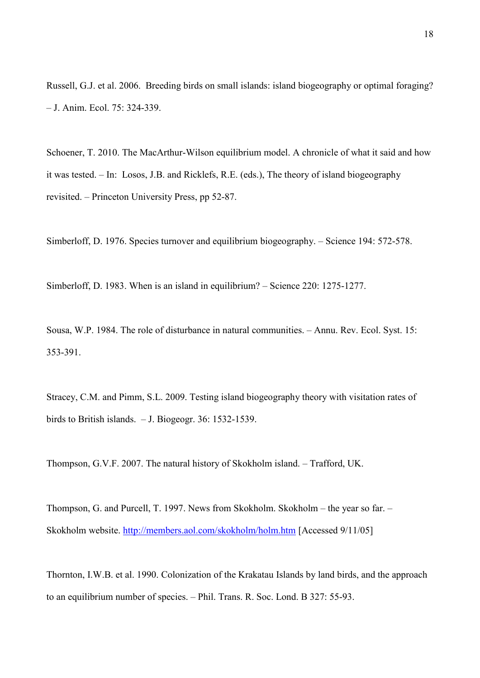Russell, G.J. et al. 2006. Breeding birds on small islands: island biogeography or optimal foraging? – J. Anim. Ecol. 75: 324-339.

Schoener, T. 2010. The MacArthur-Wilson equilibrium model. A chronicle of what it said and how it was tested. – In: Losos, J.B. and Ricklefs, R.E. (eds.), The theory of island biogeography revisited. – Princeton University Press, pp 52-87.

Simberloff, D. 1976. Species turnover and equilibrium biogeography. – Science 194: 572-578.

Simberloff, D. 1983. When is an island in equilibrium? – Science 220: 1275-1277.

Sousa, W.P. 1984. The role of disturbance in natural communities. – Annu. Rev. Ecol. Syst. 15: 353-391.

Stracey, C.M. and Pimm, S.L. 2009. Testing island biogeography theory with visitation rates of birds to British islands. – J. Biogeogr. 36: 1532-1539.

Thompson, G.V.F. 2007. The natural history of Skokholm island. – Trafford, UK.

Thompson, G. and Purcell, T. 1997. News from Skokholm. Skokholm – the year so far. – Skokholm website.<http://members.aol.com/skokholm/holm.htm>[Accessed 9/11/05]

Thornton, I.W.B. et al. 1990. Colonization of the Krakatau Islands by land birds, and the approach to an equilibrium number of species. – Phil. Trans. R. Soc. Lond. B 327: 55-93.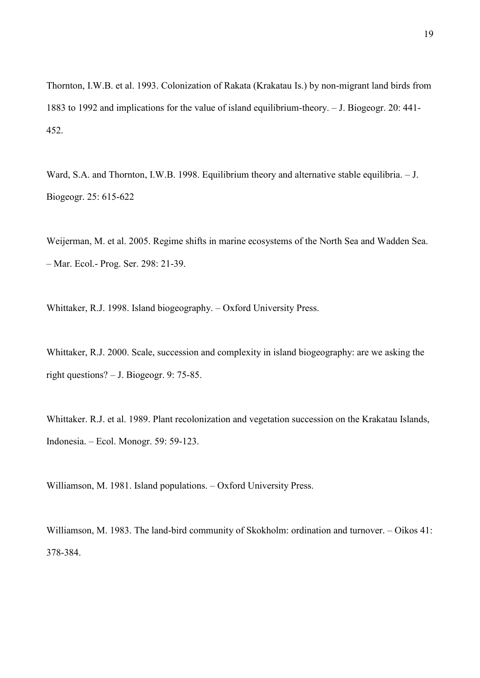Thornton, I.W.B. et al. 1993. Colonization of Rakata (Krakatau Is.) by non-migrant land birds from 1883 to 1992 and implications for the value of island equilibrium-theory. – J. Biogeogr. 20: 441- 452.

Ward, S.A. and Thornton, I.W.B. 1998. Equilibrium theory and alternative stable equilibria. - J. Biogeogr. 25: 615-622

Weijerman, M. et al. 2005. Regime shifts in marine ecosystems of the North Sea and Wadden Sea. – Mar. Ecol.- Prog. Ser. 298: 21-39.

Whittaker, R.J. 1998. Island biogeography. – Oxford University Press.

Whittaker, R.J. 2000. Scale, succession and complexity in island biogeography: are we asking the right questions? – J. Biogeogr. 9: 75-85.

Whittaker. R.J. et al. 1989. Plant recolonization and vegetation succession on the Krakatau Islands, Indonesia. – Ecol. Monogr. 59: 59-123.

Williamson, M. 1981. Island populations. – Oxford University Press.

Williamson, M. 1983. The land-bird community of Skokholm: ordination and turnover. – Oikos 41: 378-384.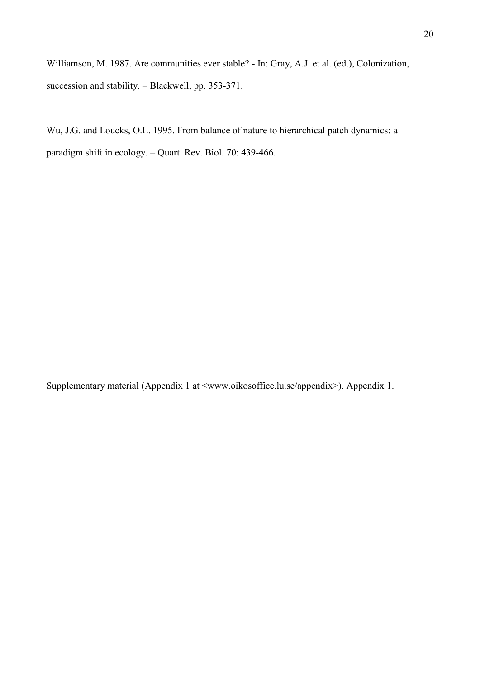Williamson, M. 1987. Are communities ever stable? - In: Gray, A.J. et al. (ed.), Colonization, succession and stability. – Blackwell, pp. 353-371.

Wu, J.G. and Loucks, O.L. 1995. From balance of nature to hierarchical patch dynamics: a paradigm shift in ecology. – Quart. Rev. Biol. 70: 439-466.

Supplementary material (Appendix 1 at <www.oikosoffice.lu.se/appendix>). Appendix 1.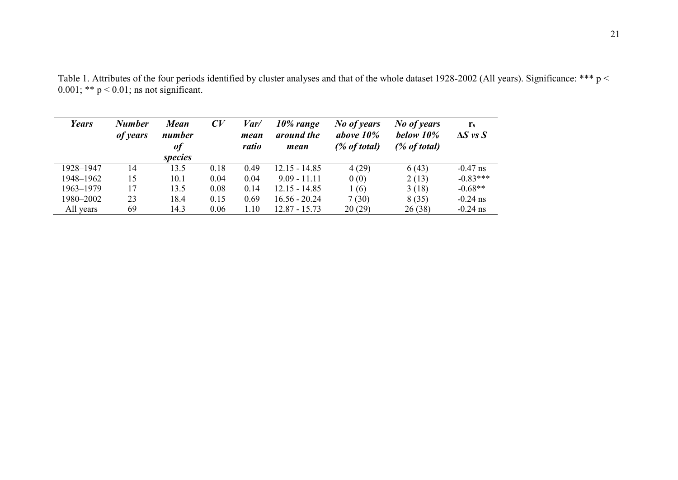| Years     | <b>Number</b><br>of years | <b>Mean</b><br>number<br><b>of</b><br><i>species</i> | $\mathcal{C}V$ | Var/<br>mean<br>ratio | $10\%$ range<br>around the<br>mean | No of years<br>above $10\%$<br>(% of total) | No of years<br>below 10%<br>$(\%$ of total) | $r_{s}$<br>$\Delta S$ vs $S$ |
|-----------|---------------------------|------------------------------------------------------|----------------|-----------------------|------------------------------------|---------------------------------------------|---------------------------------------------|------------------------------|
| 1928-1947 | 14                        | 13.5                                                 | 0.18           | 0.49                  | $12.15 - 14.85$                    | 4(29)                                       | 6(43)                                       | $-0.47$ ns                   |
| 1948-1962 | 15                        | 10.1                                                 | 0.04           | 0.04                  | $9.09 - 11.11$                     | 0(0)                                        | 2(13)                                       | $-0.83***$                   |
| 1963-1979 | 17                        | 13.5                                                 | 0.08           | 0.14                  | $12.15 - 14.85$                    | 1(6)                                        | 3(18)                                       | $-0.68**$                    |
| 1980-2002 | 23                        | 18.4                                                 | 0.15           | 0.69                  | $16.56 - 20.24$                    | 7(30)                                       | 8(35)                                       | $-0.24$ ns                   |
| All years | 69                        | 14.3                                                 | 0.06           | 1.10                  | $12.87 - 15.73$                    | 20(29)                                      | 26(38)                                      | $-0.24$ ns                   |

Table 1. Attributes of the four periods identified by cluster analyses and that of the whole dataset 1928-2002 (All years). Significance: \*\*\* p <  $0.001$ ; \*\*  $p < 0.01$ ; ns not significant.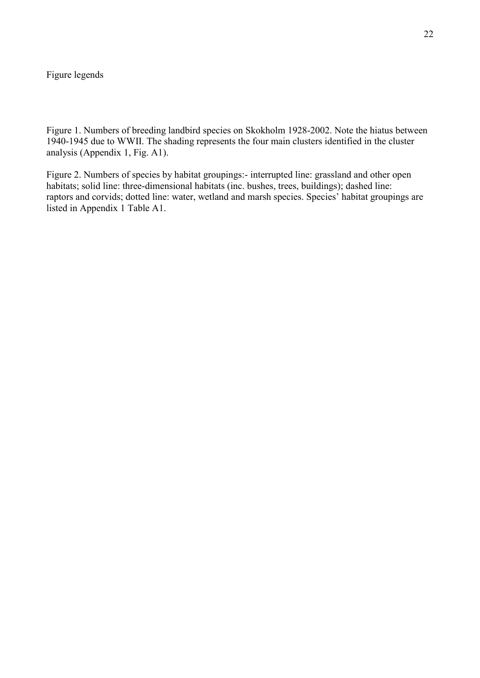# Figure legends

Figure 1. Numbers of breeding landbird species on Skokholm 1928-2002. Note the hiatus between 1940-1945 due to WWII. The shading represents the four main clusters identified in the cluster analysis (Appendix 1, Fig. A1).

Figure 2. Numbers of species by habitat groupings:- interrupted line: grassland and other open habitats; solid line: three-dimensional habitats (inc. bushes, trees, buildings); dashed line: raptors and corvids; dotted line: water, wetland and marsh species. Species' habitat groupings are listed in Appendix 1 Table A1.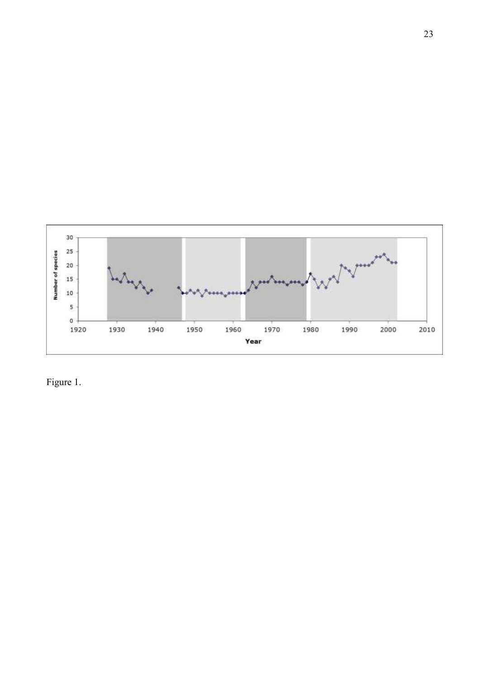

Figure 1.